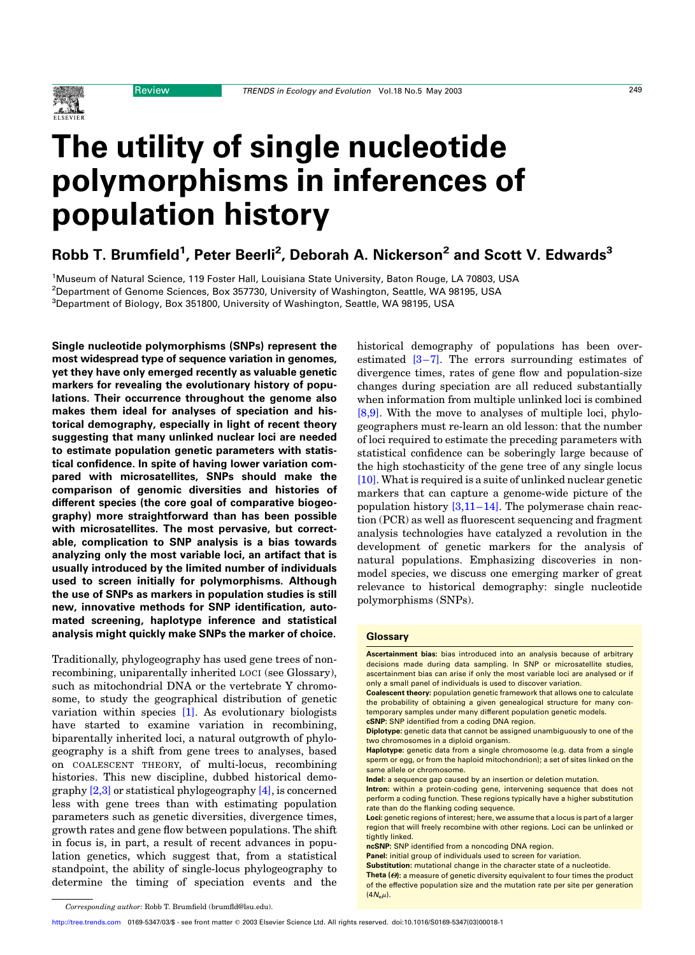

# The utility of single nucleotide polymorphisms in inferences of population history

## Robb T. Brumfield<sup>1</sup>, Peter Beerli<sup>2</sup>, Deborah A. Nickerson<sup>2</sup> and Scott V. Edwards $^3$

<sup>1</sup>Museum of Natural Science, 119 Foster Hall, Louisiana State University, Baton Rouge, LA 70803, USA 2 Department of Genome Sciences, Box 357730, University of Washington, Seattle, WA 98195, USA  $^3$ Department of Biology, Box 351800, University of Washington, Seattle, WA 98195, USA

Single nucleotide polymorphisms (SNPs) represent the most widespread type of sequence variation in genomes, yet they have only emerged recently as valuable genetic markers for revealing the evolutionary history of populations. Their occurrence throughout the genome also makes them ideal for analyses of speciation and historical demography, especially in light of recent theory suggesting that many unlinked nuclear loci are needed to estimate population genetic parameters with statistical confidence. In spite of having lower variation compared with microsatellites, SNPs should make the comparison of genomic diversities and histories of different species (the core goal of comparative biogeography) more straightforward than has been possible with microsatellites. The most pervasive, but correctable, complication to SNP analysis is a bias towards analyzing only the most variable loci, an artifact that is usually introduced by the limited number of individuals used to screen initially for polymorphisms. Although the use of SNPs as markers in population studies is still new, innovative methods for SNP identification, automated screening, haplotype inference and statistical analysis might quickly make SNPs the marker of choice.

Traditionally, phylogeography has used gene trees of nonrecombining, uniparentally inherited LOCI (see Glossary), such as mitochondrial DNA or the vertebrate Y chromosome, to study the geographical distribution of genetic variation within species [\[1\].](#page-6-0) As evolutionary biologists have started to examine variation in recombining, biparentally inherited loci, a natural outgrowth of phylogeography is a shift from gene trees to analyses, based on COALESCENT THEORY, of multi-locus, recombining histories. This new discipline, dubbed historical demography [\[2,3\]](#page-6-0) or statistical phylogeography [\[4\]](#page-6-0), is concerned less with gene trees than with estimating population parameters such as genetic diversities, divergence times, growth rates and gene flow between populations. The shift in focus is, in part, a result of recent advances in population genetics, which suggest that, from a statistical standpoint, the ability of single-locus phylogeography to determine the timing of speciation events and the historical demography of populations has been overestimated [\[3–7\]](#page-6-0). The errors surrounding estimates of divergence times, rates of gene flow and population-size changes during speciation are all reduced substantially when information from multiple unlinked loci is combined [\[8,9\]](#page-6-0). With the move to analyses of multiple loci, phylogeographers must re-learn an old lesson: that the number of loci required to estimate the preceding parameters with statistical confidence can be soberingly large because of the high stochasticity of the gene tree of any single locus [\[10\].](#page-6-0) What is required is a suite of unlinked nuclear genetic markers that can capture a genome-wide picture of the population history  $[3,11-14]$ . The polymerase chain reaction (PCR) as well as fluorescent sequencing and fragment analysis technologies have catalyzed a revolution in the development of genetic markers for the analysis of natural populations. Emphasizing discoveries in nonmodel species, we discuss one emerging marker of great relevance to historical demography: single nucleotide polymorphisms (SNPs).

#### **Glossary**

Ascertainment bias: bias introduced into an analysis because of arbitrary decisions made during data sampling. In SNP or microsatellite studies, ascertainment bias can arise if only the most variable loci are analysed or if only a small panel of individuals is used to discover variation.

Coalescent theory: population genetic framework that allows one to calculate the probability of obtaining a given genealogical structure for many contemporary samples under many different population genetic models.

cSNP: SNP identified from a coding DNA region.

Intron: within a protein-coding gene, intervening sequence that does not perform a coding function. These regions typically have a higher substitution rate than do the flanking coding sequence.

Loci: genetic regions of interest; here, we assume that a locus is part of a larger region that will freely recombine with other regions. Loci can be unlinked or tightly linked.

ncSNP: SNP identified from a noncoding DNA region.

Panel: initial group of individuals used to screen for variation.

Substitution: mutational change in the character state of a nucleotide.

Theta  $(\Theta)$ : a measure of genetic diversity equivalent to four times the product of the effective population size and the mutation rate per site per generation  $(4N_e\mu)$ .

Diplotype: genetic data that cannot be assigned unambiguously to one of the two chromosomes in a diploid organism.

Haplotype: genetic data from a single chromosome (e.g. data from a single sperm or egg, or from the haploid mitochondrion); a set of sites linked on the same allele or chromosome

Indel: a sequence gap caused by an insertion or deletion mutation.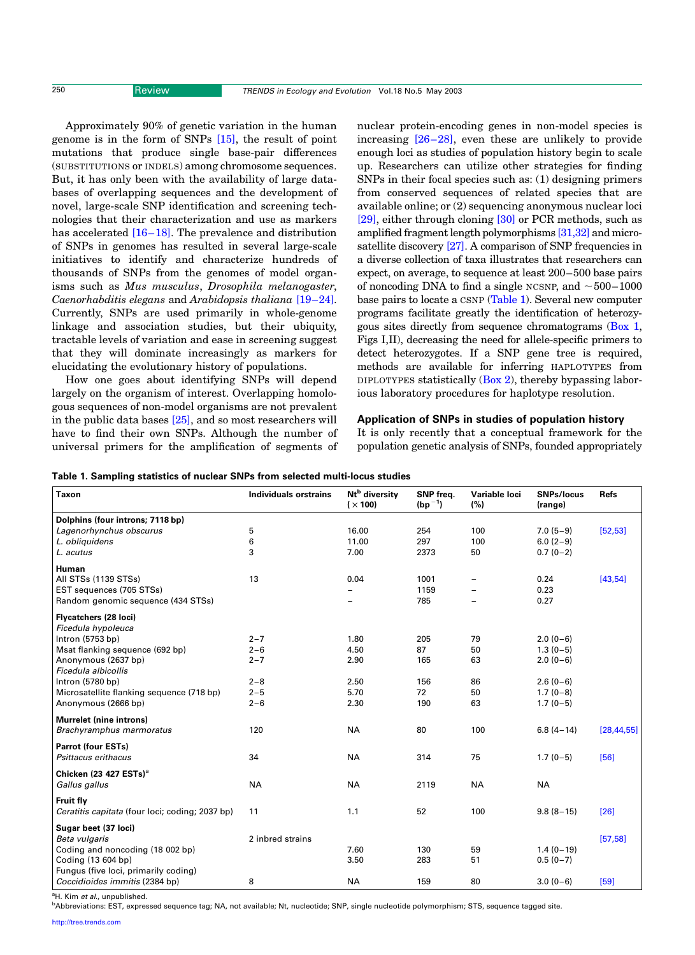Approximately 90% of genetic variation in the human genome is in the form of SNPs [\[15\],](#page-6-0) the result of point mutations that produce single base-pair differences (SUBSTITUTIONS or INDELS) among chromosome sequences. But, it has only been with the availability of large databases of overlapping sequences and the development of novel, large-scale SNP identification and screening technologies that their characterization and use as markers has accelerated [\[16–18\].](#page-6-0) The prevalence and distribution of SNPs in genomes has resulted in several large-scale initiatives to identify and characterize hundreds of thousands of SNPs from the genomes of model organisms such as Mus musculus, Drosophila melanogaster, Caenorhabditis elegans and Arabidopsis thaliana [\[19–24\]](#page-6-0). Currently, SNPs are used primarily in whole-genome linkage and association studies, but their ubiquity, tractable levels of variation and ease in screening suggest that they will dominate increasingly as markers for elucidating the evolutionary history of populations.

How one goes about identifying SNPs will depend largely on the organism of interest. Overlapping homologous sequences of non-model organisms are not prevalent in the public data bases [\[25\],](#page-7-0) and so most researchers will have to find their own SNPs. Although the number of universal primers for the amplification of segments of

nuclear protein-encoding genes in non-model species is increasing  $[26-28]$ , even these are unlikely to provide enough loci as studies of population history begin to scale up. Researchers can utilize other strategies for finding SNPs in their focal species such as: (1) designing primers from conserved sequences of related species that are available online; or (2) sequencing anonymous nuclear loci [\[29\],](#page-7-0) either through cloning [\[30\]](#page-7-0) or PCR methods, such as amplified fragment length polymorphisms [\[31,32\]](#page-7-0) and microsatellite discovery [\[27\]](#page-7-0). A comparison of SNP frequencies in a diverse collection of taxa illustrates that researchers can expect, on average, to sequence at least 200–500 base pairs of noncoding DNA to find a single NCSNP, and  $\sim$  500–1000 base pairs to locate a CSNP (Table 1). Several new computer programs facilitate greatly the identification of heterozygous sites directly from sequence chromatograms ([Box 1](#page-2-0), Figs I,II), decreasing the need for allele-specific primers to detect heterozygotes. If a SNP gene tree is required, methods are available for inferring HAPLOTYPES from DIPLOTYPES statistically  $(Box 2)$ , thereby bypassing laborious laboratory procedures for haplotype resolution.

### Application of SNPs in studies of population history

It is only recently that a conceptual framework for the population genetic analysis of SNPs, founded appropriately

| Table 1. Sampling statistics of nuclear SNPs from selected multi-locus studies |  |  |  |  |  |  |  |  |  |
|--------------------------------------------------------------------------------|--|--|--|--|--|--|--|--|--|
|--------------------------------------------------------------------------------|--|--|--|--|--|--|--|--|--|

| <b>Taxon</b>                                    | <b>Individuals orstrains</b> | Nt <sup>b</sup> diversity<br>(x 100) | SNP freq.<br>$(bp^{-1})$ | Variable loci<br>(%) | <b>SNPs/locus</b><br>(range) | <b>Refs</b>  |
|-------------------------------------------------|------------------------------|--------------------------------------|--------------------------|----------------------|------------------------------|--------------|
| Dolphins (four introns; 7118 bp)                |                              |                                      |                          |                      |                              |              |
| Lagenorhynchus obscurus                         | 5                            | 16.00                                | 254                      | 100                  | $7.0(5-9)$                   | [52, 53]     |
| L. obliquidens                                  | 6                            | 11.00                                | 297                      | 100                  | $6.0(2-9)$                   |              |
| L. acutus                                       | 3                            | 7.00                                 | 2373                     | 50                   | $0.7(0-2)$                   |              |
| Human                                           |                              |                                      |                          |                      |                              |              |
| All STSs (1139 STSs)                            | 13                           | 0.04                                 | 1001                     |                      | 0.24                         | [43, 54]     |
| EST sequences (705 STSs)                        |                              |                                      | 1159                     |                      | 0.23                         |              |
| Random genomic sequence (434 STSs)              |                              |                                      | 785                      |                      | 0.27                         |              |
| Flycatchers (28 loci)                           |                              |                                      |                          |                      |                              |              |
| Ficedula hypoleuca                              |                              |                                      |                          |                      |                              |              |
| Intron (5753 bp)                                | $2 - 7$                      | 1.80                                 | 205                      | 79                   | $2.0(0-6)$                   |              |
| Msat flanking sequence (692 bp)                 | $2 - 6$                      | 4.50                                 | 87                       | 50                   | $1.3(0-5)$                   |              |
| Anonymous (2637 bp)                             | $2 - 7$                      | 2.90                                 | 165                      | 63                   | $2.0(0-6)$                   |              |
| Ficedula albicollis                             |                              |                                      |                          |                      |                              |              |
| Intron (5780 bp)                                | $2 - 8$                      | 2.50                                 | 156                      | 86                   | $2.6(0-6)$                   |              |
| Microsatellite flanking sequence (718 bp)       | $2 - 5$                      | 5.70                                 | 72                       | 50                   | $1.7(0-8)$                   |              |
| Anonymous (2666 bp)                             | $2 - 6$                      | 2.30                                 | 190                      | 63                   | $1.7(0-5)$                   |              |
| Murrelet (nine introns)                         |                              |                                      |                          |                      |                              |              |
| <b>Brachyramphus marmoratus</b>                 | 120                          | <b>NA</b>                            | 80                       | 100                  | $6.8(4-14)$                  | [28, 44, 55] |
| <b>Parrot (four ESTs)</b>                       |                              |                                      |                          |                      |                              |              |
| Psittacus erithacus                             | 34                           | <b>NA</b>                            | 314                      | 75                   | $1.7(0-5)$                   | [56]         |
| Chicken (23 427 ESTs) <sup>a</sup>              |                              |                                      |                          |                      |                              |              |
| Gallus gallus                                   | <b>NA</b>                    | <b>NA</b>                            | 2119                     | <b>NA</b>            | <b>NA</b>                    |              |
| <b>Fruit fly</b>                                |                              |                                      |                          |                      |                              |              |
| Ceratitis capitata (four loci; coding; 2037 bp) | 11                           | 1.1                                  | 52                       | 100                  | $9.8(8-15)$                  | [26]         |
|                                                 |                              |                                      |                          |                      |                              |              |
| Sugar beet (37 loci)<br>Beta vulgaris           | 2 inbred strains             |                                      |                          |                      |                              |              |
| Coding and noncoding (18 002 bp)                |                              | 7.60                                 | 130                      | 59                   | $1.4(0-19)$                  | [57, 58]     |
| Coding (13 604 bp)                              |                              | 3.50                                 | 283                      | 51                   | $0.5(0-7)$                   |              |
| Fungus (five loci, primarily coding)            |                              |                                      |                          |                      |                              |              |
| Coccidioides immitis (2384 bp)                  | 8                            | <b>NA</b>                            | 159                      | 80                   | $3.0(0-6)$                   | [59]         |
|                                                 |                              |                                      |                          |                      |                              |              |

<sup>a</sup>H. Kim et al., unpublished.

b<br>Abbreviations: EST, expressed sequence tag; NA, not available; Nt, nucleotide; SNP, single nucleotide polymorphism; STS, sequence tagged site.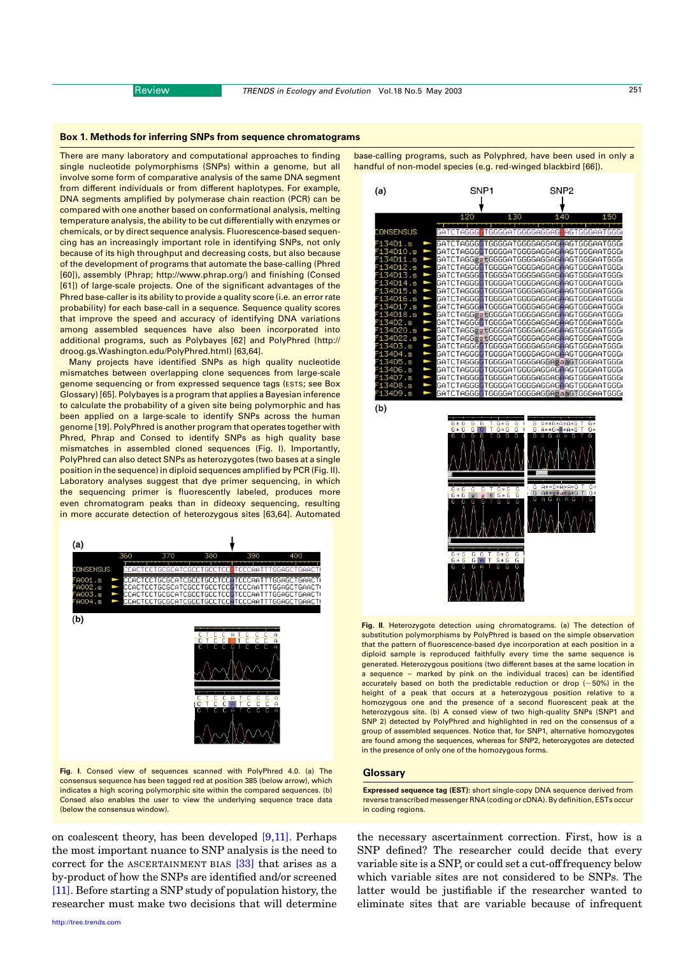#### <span id="page-2-0"></span>Box 1. Methods for inferring SNPs from sequence chromatograms

There are many laboratory and computational approaches to finding single nucleotide polymorphisms (SNPs) within a genome, but all involve some form of comparative analysis of the same DNA segment from different individuals or from different haplotypes. For example, DNA segments amplified by polymerase chain reaction (PCR) can be compared with one another based on conformational analysis, melting temperature analysis, the ability to be cut differentially with enzymes or chemicals, or by direct sequence analysis. Fluorescence-based sequencing has an increasingly important role in identifying SNPs, not only because of its high throughput and decreasing costs, but also because of the development of programs that automate the base-calling (Phred [60]), assembly (Phrap; http://www.phrap.org/) and finishing (Consed [61]) of large-scale projects. One of the significant advantages of the Phred base-caller is its ability to provide a quality score (i.e. an error rate probability) for each base-call in a sequence. Sequence quality scores that improve the speed and accuracy of identifying DNA variations among assembled sequences have also been incorporated into additional programs, such as Polybayes [62] and PolyPhred (http:// droog.gs.Washington.edu/PolyPhred.html) [63,64].

Many projects have identified SNPs as high quality nucleotide mismatches between overlapping clone sequences from large-scale genome sequencing or from expressed sequence tags (ESTS; see Box Glossary) [65]. Polybayes is a program that applies a Bayesian inference to calculate the probability of a given site being polymorphic and has been applied on a large-scale to identify SNPs across the human genome [19]. PolyPhred is another program that operates together with Phred, Phrap and Consed to identify SNPs as high quality base mismatches in assembled cloned sequences (Fig. I). Importantly, PolyPhred can also detect SNPs as heterozygotes (two bases at a single position in the sequence) in diploid sequences amplified by PCR (Fig. II). Laboratory analyses suggest that dye primer sequencing, in which the sequencing primer is fluorescently labeled, produces more even chromatogram peaks than in dideoxy sequencing, resulting in more accurate detection of heterozygous sites [63,64]. Automated



Fig. I. Consed view of sequences scanned with PolyPhred 4.0. (a) The consensus sequence has been tagged red at position 385 (below arrow), which indicates a high scoring polymorphic site within the compared sequences. (b) Consed also enables the user to view the underlying sequence trace data (below the consensus window).

on coalescent theory, has been developed [\[9,11\].](#page-6-0) Perhaps the most important nuance to SNP analysis is the need to correct for the ASCERTAINMENT BIAS [\[33\]](#page-7-0) that arises as a by-product of how the SNPs are identified and/or screened [\[11\]](#page-6-0). Before starting a SNP study of population history, the researcher must make two decisions that will determine



base-calling programs, such as Polyphred, have been used in only a handful of non-model species (e.g. red-winged blackbird [66]).



Fig. II. Heterozygote detection using chromatograms. (a) The detection of substitution polymorphisms by PolyPhred is based on the simple observation that the pattern of fluorescence-based dye incorporation at each position in a diploid sample is reproduced faithfully every time the same sequence is generated. Heterozygous positions (two different bases at the same location in a sequence – marked by pink on the individual traces) can be identified accurately based on both the predictable reduction or drop ( $\sim$  50%) in the height of a peak that occurs at a heterozygous position relative to a homozygous one and the presence of a second fluorescent peak at the heterozygous site. (b) A consed view of two high-quality SNPs (SNP1 and SNP 2) detected by PolyPhred and highlighted in red on the consensus of a group of assembled sequences. Notice that, for SNP1, alternative homozygotes are found among the sequences, whereas for SNP2, heterozygotes are detected in the presence of only one of the homozygous forms.

#### **Glossary**

Expressed sequence tag (EST): short single-copy DNA sequence derived from reverse transcribed messenger RNA (coding or cDNA). By definition, ESTs occur in coding regions.

the necessary ascertainment correction. First, how is a SNP defined? The researcher could decide that every variable site is a SNP, or could set a cut-off frequency below which variable sites are not considered to be SNPs. The latter would be justifiable if the researcher wanted to eliminate sites that are variable because of infrequent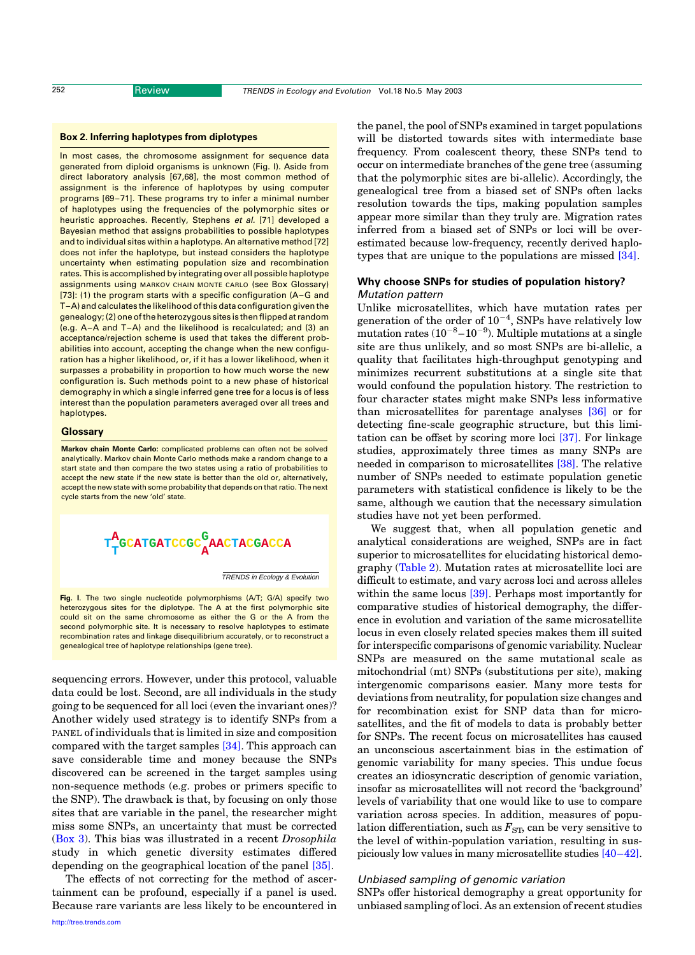<span id="page-3-0"></span>

#### Box 2. Inferring haplotypes from diplotypes

In most cases, the chromosome assignment for sequence data generated from diploid organisms is unknown (Fig. I). Aside from direct laboratory analysis [67,68], the most common method of assignment is the inference of haplotypes by using computer programs [69–71]. These programs try to infer a minimal number of haplotypes using the frequencies of the polymorphic sites or heuristic approaches. Recently, Stephens et al. [71] developed a Bayesian method that assigns probabilities to possible haplotypes and to individual sites within a haplotype. An alternative method [72] does not infer the haplotype, but instead considers the haplotype uncertainty when estimating population size and recombination rates. This is accomplished by integrating over all possible haplotype assignments using MARKOV CHAIN MONTE CARLO (see Box Glossary) [73]: (1) the program starts with a specific configuration (A–G and T–A) and calculates the likelihood of this data configuration given the genealogy; (2) one of the heterozygous sites is then flipped at random (e.g. A–A and T–A) and the likelihood is recalculated; and (3) an acceptance/rejection scheme is used that takes the different probabilities into account, accepting the change when the new configuration has a higher likelihood, or, if it has a lower likelihood, when it surpasses a probability in proportion to how much worse the new configuration is. Such methods point to a new phase of historical demography in which a single inferred gene tree for a locus is of less interest than the population parameters averaged over all trees and haplotypes.

#### **Glossary**

Markov chain Monte Carlo: complicated problems can often not be solved analytically. Markov chain Monte Carlo methods make a random change to a start state and then compare the two states using a ratio of probabilities to accept the new state if the new state is better than the old or, alternatively, accept the new state with some probability that depends on that ratio. The next cycle starts from the new 'old' state.



TRENDS in Ecology & Evolution

Fig. I. The two single nucleotide polymorphisms (A/T; G/A) specify two heterozygous sites for the diplotype. The A at the first polymorphic site could sit on the same chromosome as either the G or the A from the second polymorphic site. It is necessary to resolve haplotypes to estimate recombination rates and linkage disequilibrium accurately, or to reconstruct a genealogical tree of haplotype relationships (gene tree).

sequencing errors. However, under this protocol, valuable data could be lost. Second, are all individuals in the study going to be sequenced for all loci (even the invariant ones)? Another widely used strategy is to identify SNPs from a PANEL of individuals that is limited in size and composition compared with the target samples [\[34\]](#page-7-0). This approach can save considerable time and money because the SNPs discovered can be screened in the target samples using non-sequence methods (e.g. probes or primers specific to the SNP). The drawback is that, by focusing on only those sites that are variable in the panel, the researcher might miss some SNPs, an uncertainty that must be corrected ([Box 3](#page-4-0)). This bias was illustrated in a recent Drosophila study in which genetic diversity estimates differed depending on the geographical location of the panel [\[35\].](#page-7-0)

The effects of not correcting for the method of ascertainment can be profound, especially if a panel is used. Because rare variants are less likely to be encountered in the panel, the pool of SNPs examined in target populations will be distorted towards sites with intermediate base frequency. From coalescent theory, these SNPs tend to occur on intermediate branches of the gene tree (assuming that the polymorphic sites are bi-allelic). Accordingly, the genealogical tree from a biased set of SNPs often lacks resolution towards the tips, making population samples appear more similar than they truly are. Migration rates inferred from a biased set of SNPs or loci will be overestimated because low-frequency, recently derived haplotypes that are unique to the populations are missed [\[34\]](#page-7-0).

#### Why choose SNPs for studies of population history? Mutation pattern

Unlike microsatellites, which have mutation rates per generation of the order of  $10^{-4}$ , SNPs have relatively low mutation rates  $(10^{-8}-10^{-9})$ . Multiple mutations at a single site are thus unlikely, and so most SNPs are bi-allelic, a quality that facilitates high-throughput genotyping and minimizes recurrent substitutions at a single site that would confound the population history. The restriction to four character states might make SNPs less informative than microsatellites for parentage analyses [\[36\]](#page-7-0) or for detecting fine-scale geographic structure, but this limitation can be offset by scoring more loci [\[37\]](#page-7-0). For linkage studies, approximately three times as many SNPs are needed in comparison to microsatellites [\[38\]](#page-7-0). The relative number of SNPs needed to estimate population genetic parameters with statistical confidence is likely to be the same, although we caution that the necessary simulation studies have not yet been performed.

We suggest that, when all population genetic and analytical considerations are weighed, SNPs are in fact superior to microsatellites for elucidating historical demography ([Table 2](#page-4-0)). Mutation rates at microsatellite loci are difficult to estimate, and vary across loci and across alleles within the same locus [\[39\]](#page-7-0). Perhaps most importantly for comparative studies of historical demography, the difference in evolution and variation of the same microsatellite locus in even closely related species makes them ill suited for interspecific comparisons of genomic variability. Nuclear SNPs are measured on the same mutational scale as mitochondrial (mt) SNPs (substitutions per site), making intergenomic comparisons easier. Many more tests for deviations from neutrality, for population size changes and for recombination exist for SNP data than for microsatellites, and the fit of models to data is probably better for SNPs. The recent focus on microsatellites has caused an unconscious ascertainment bias in the estimation of genomic variability for many species. This undue focus creates an idiosyncratic description of genomic variation, insofar as microsatellites will not record the 'background' levels of variability that one would like to use to compare variation across species. In addition, measures of population differentiation, such as  $F_{ST}$ , can be very sensitive to the level of within-population variation, resulting in suspiciously low values in many microsatellite studies [\[40–42\]](#page-7-0).

#### Unbiased sampling of genomic variation

SNPs offer historical demography a great opportunity for unbiased sampling of loci. As an extension of recent studies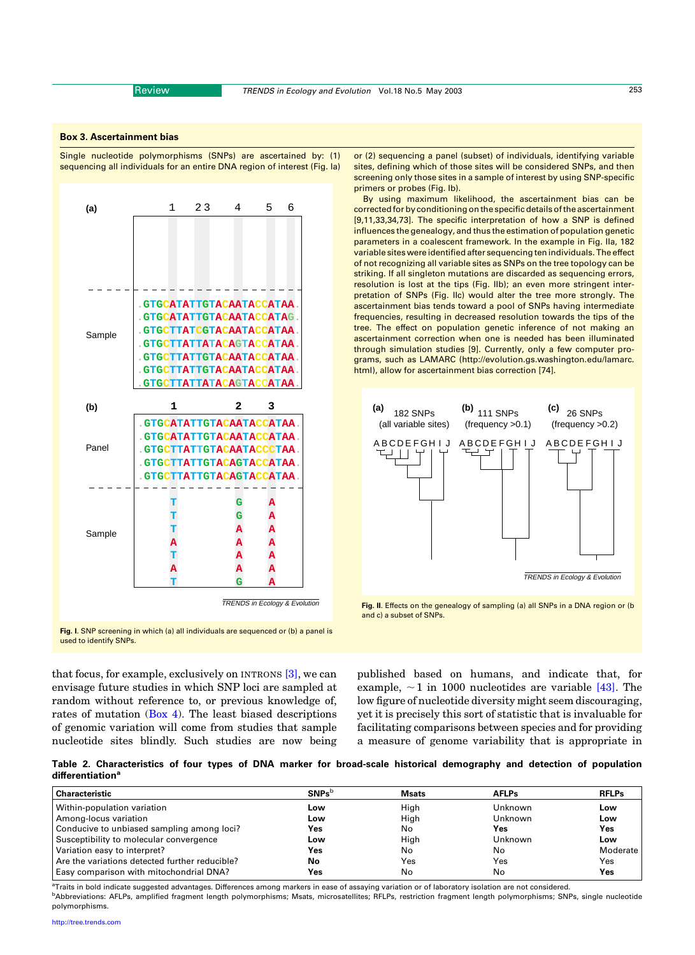#### <span id="page-4-0"></span>Box 3. Ascertainment bias

Single nucleotide polymorphisms (SNPs) are ascertained by: (1) sequencing all individuals for an entire DNA region of interest (Fig. Ia)



Fig. I. SNP screening in which (a) all individuals are sequenced or (b) a panel is used to identify SNPs.

that focus, for example, exclusively on INTRONS [\[3\]](#page-6-0), we can envisage future studies in which SNP loci are sampled at random without reference to, or previous knowledge of, rates of mutation  $(Box 4)$ . The least biased descriptions of genomic variation will come from studies that sample nucleotide sites blindly. Such studies are now being or (2) sequencing a panel (subset) of individuals, identifying variable sites, defining which of those sites will be considered SNPs, and then screening only those sites in a sample of interest by using SNP-specific primers or probes (Fig. Ib).

By using maximum likelihood, the ascertainment bias can be corrected for by conditioning on the specific details of the ascertainment [9,11,33,34,73]. The specific interpretation of how a SNP is defined influences the genealogy, and thus the estimation of population genetic parameters in a coalescent framework. In the example in Fig. IIa, 182 variable sites were identified after sequencing ten individuals. The effect of not recognizing all variable sites as SNPs on the tree topology can be striking. If all singleton mutations are discarded as sequencing errors, resolution is lost at the tips (Fig. IIb); an even more stringent interpretation of SNPs (Fig. IIc) would alter the tree more strongly. The ascertainment bias tends toward a pool of SNPs having intermediate frequencies, resulting in decreased resolution towards the tips of the tree. The effect on population genetic inference of not making an ascertainment correction when one is needed has been illuminated through simulation studies [9]. Currently, only a few computer programs, such as LAMARC (http://evolution.gs.washington.edu/lamarc. html), allow for ascertainment bias correction [74].



Fig. II. Effects on the genealogy of sampling (a) all SNPs in a DNA region or (b and c) a subset of SNPs.

published based on humans, and indicate that, for example,  $\sim$ 1 in 1000 nucleotides are variable [\[43\]](#page-7-0). The low figure of nucleotide diversity might seem discouraging, yet it is precisely this sort of statistic that is invaluable for facilitating comparisons between species and for providing a measure of genome variability that is appropriate in

Table 2. Characteristics of four types of DNA marker for broad-scale historical demography and detection of population differentiation<sup>a</sup>

| <b>Characteristic</b>                          | SNPs <sup>b</sup> | <b>Msats</b> | <b>AFLPs</b> | <b>RFLPs</b> |
|------------------------------------------------|-------------------|--------------|--------------|--------------|
| Within-population variation                    | Low               | High         | Unknown      | Low          |
| Among-locus variation                          | Low               | High         | Unknown      | Low          |
| Conducive to unbiased sampling among loci?     | Yes               | No           | Yes          | Yes          |
| Susceptibility to molecular convergence        | Low               | High         | Unknown      | Low          |
| Variation easy to interpret?                   | Yes               | No           | No           | Moderate     |
| Are the variations detected further reducible? | No                | Yes          | Yes          | Yes          |
| <b>Easy comparison with mitochondrial DNA?</b> | Yes               | No           | No           | Yes          |

a Traits in bold indicate suggested advantages. Differences among markers in ease of assaying variation or of laboratory isolation are not considered.

b Abbreviations: AFLPs, amplified fragment length polymorphisms; Msats, microsatellites; RFLPs, restriction fragment length polymorphisms; SNPs, single nucleotide polymorphisms.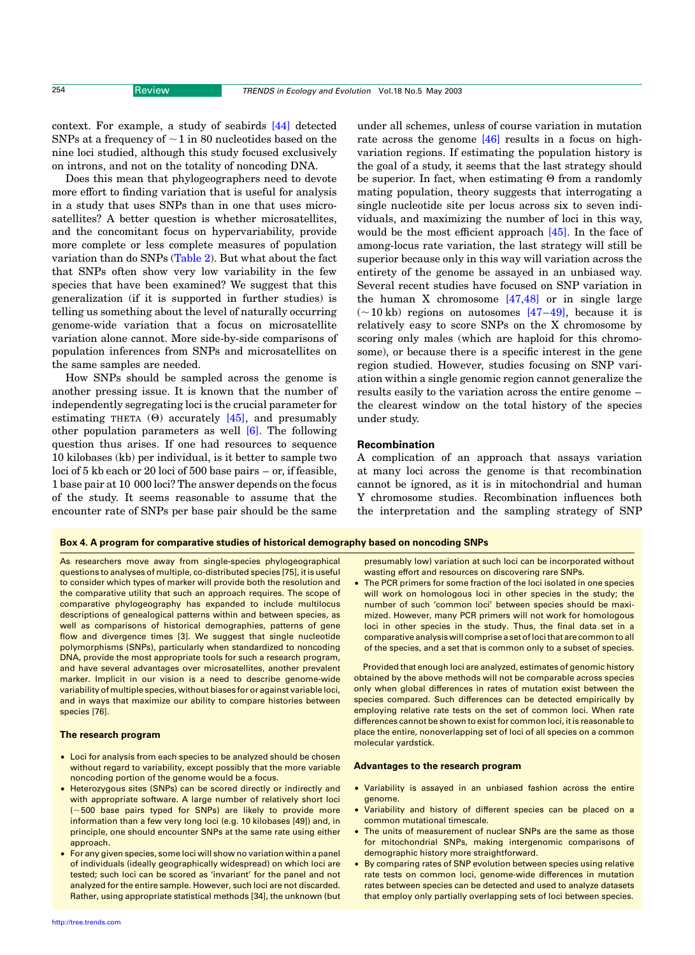<span id="page-5-0"></span>context. For example, a study of seabirds [\[44\]](#page-7-0) detected SNPs at a frequency of  $\sim$  1 in 80 nucleotides based on the nine loci studied, although this study focused exclusively on introns, and not on the totality of noncoding DNA.

Does this mean that phylogeographers need to devote more effort to finding variation that is useful for analysis in a study that uses SNPs than in one that uses microsatellites? A better question is whether microsatellites, and the concomitant focus on hypervariability, provide more complete or less complete measures of population variation than do SNPs ([Table 2](#page-4-0)). But what about the fact that SNPs often show very low variability in the few species that have been examined? We suggest that this generalization (if it is supported in further studies) is telling us something about the level of naturally occurring genome-wide variation that a focus on microsatellite variation alone cannot. More side-by-side comparisons of population inferences from SNPs and microsatellites on the same samples are needed.

How SNPs should be sampled across the genome is another pressing issue. It is known that the number of independently segregating loci is the crucial parameter for estimating THETA  $(\Theta)$  accurately [\[45\]](#page-7-0), and presumably other population parameters as well [\[6\]](#page-6-0). The following question thus arises. If one had resources to sequence 10 kilobases (kb) per individual, is it better to sample two loci of 5 kb each or 20 loci of 500 base pairs – or, if feasible, 1 base pair at 10 000 loci? The answer depends on the focus of the study. It seems reasonable to assume that the encounter rate of SNPs per base pair should be the same

under all schemes, unless of course variation in mutation rate across the genome [\[46\]](#page-7-0) results in a focus on highvariation regions. If estimating the population history is the goal of a study, it seems that the last strategy should be superior. In fact, when estimating  $\Theta$  from a randomly mating population, theory suggests that interrogating a single nucleotide site per locus across six to seven individuals, and maximizing the number of loci in this way, would be the most efficient approach [\[45\].](#page-7-0) In the face of among-locus rate variation, the last strategy will still be superior because only in this way will variation across the entirety of the genome be assayed in an unbiased way. Several recent studies have focused on SNP variation in the human X chromosome [\[47,48\]](#page-7-0) or in single large  $(-10 \text{ kb})$  regions on autosomes  $[47-49]$ , because it is relatively easy to score SNPs on the X chromosome by scoring only males (which are haploid for this chromosome), or because there is a specific interest in the gene region studied. However, studies focusing on SNP variation within a single genomic region cannot generalize the results easily to the variation across the entire genome – the clearest window on the total history of the species under study.

#### Recombination

A complication of an approach that assays variation at many loci across the genome is that recombination cannot be ignored, as it is in mitochondrial and human Y chromosome studies. Recombination influences both the interpretation and the sampling strategy of SNP

#### Box 4. A program for comparative studies of historical demography based on noncoding SNPs

As researchers move away from single-species phylogeographical questions to analyses of multiple, co-distributed species [75], it is useful to consider which types of marker will provide both the resolution and the comparative utility that such an approach requires. The scope of comparative phylogeography has expanded to include multilocus descriptions of genealogical patterns within and between species, as well as comparisons of historical demographies, patterns of gene flow and divergence times [3]. We suggest that single nucleotide polymorphisms (SNPs), particularly when standardized to noncoding DNA, provide the most appropriate tools for such a research program, and have several advantages over microsatellites, another prevalent marker. Implicit in our vision is a need to describe genome-wide variability of multiple species, without biases for or against variable loci, and in ways that maximize our ability to compare histories between species [76].

#### The research program

- Loci for analysis from each species to be analyzed should be chosen without regard to variability, except possibly that the more variable noncoding portion of the genome would be a focus.
- Heterozygous sites (SNPs) can be scored directly or indirectly and with appropriate software. A large number of relatively short loci  $(-500$  base pairs typed for SNPs) are likely to provide more information than a few very long loci (e.g. 10 kilobases [49]) and, in principle, one should encounter SNPs at the same rate using either approach.
- For any given species, some loci will show no variation within a panel of individuals (ideally geographically widespread) on which loci are tested; such loci can be scored as 'invariant' for the panel and not analyzed for the entire sample. However, such loci are not discarded. Rather, using appropriate statistical methods [34], the unknown (but

[http://tree.trends.com](http://www.trends.com)

presumably low) variation at such loci can be incorporated without wasting effort and resources on discovering rare SNPs.

• The PCR primers for some fraction of the loci isolated in one species will work on homologous loci in other species in the study; the number of such 'common loci' between species should be maximized. However, many PCR primers will not work for homologous loci in other species in the study. Thus, the final data set in a comparative analysis will comprise a set of loci that are common to all of the species, and a set that is common only to a subset of species.

Provided that enough loci are analyzed, estimates of genomic history obtained by the above methods will not be comparable across species only when global differences in rates of mutation exist between the species compared. Such differences can be detected empirically by employing relative rate tests on the set of common loci. When rate differences cannot be shown to exist for common loci, it is reasonable to place the entire, nonoverlapping set of loci of all species on a common molecular yardstick.

#### Advantages to the research program

- Variability is assayed in an unbiased fashion across the entire genome.
- Variability and history of different species can be placed on a common mutational timescale.
- The units of measurement of nuclear SNPs are the same as those for mitochondrial SNPs, making intergenomic comparisons of demographic history more straightforward.
- By comparing rates of SNP evolution between species using relative rate tests on common loci, genome-wide differences in mutation rates between species can be detected and used to analyze datasets that employ only partially overlapping sets of loci between species.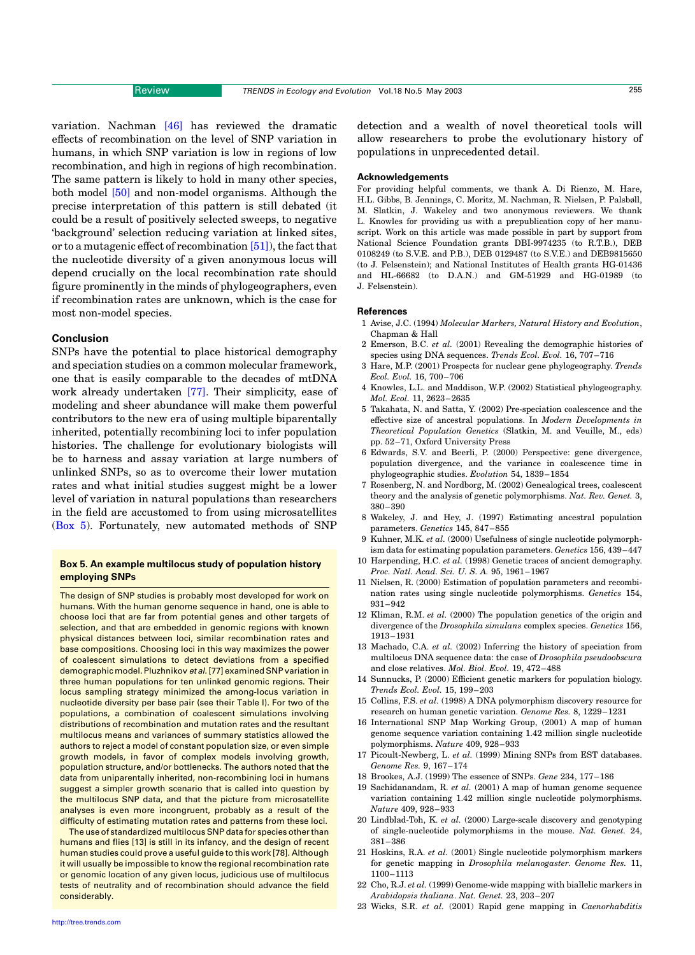<span id="page-6-0"></span>variation. Nachman [\[46\]](#page-7-0) has reviewed the dramatic effects of recombination on the level of SNP variation in humans, in which SNP variation is low in regions of low recombination, and high in regions of high recombination. The same pattern is likely to hold in many other species, both model [\[50\]](#page-7-0) and non-model organisms. Although the precise interpretation of this pattern is still debated (it could be a result of positively selected sweeps, to negative 'background' selection reducing variation at linked sites, or to a mutagenic effect of recombination [\[51\]](#page-7-0)), the fact that the nucleotide diversity of a given anonymous locus will depend crucially on the local recombination rate should figure prominently in the minds of phylogeographers, even if recombination rates are unknown, which is the case for most non-model species.

#### Conclusion

SNPs have the potential to place historical demography and speciation studies on a common molecular framework, one that is easily comparable to the decades of mtDNA work already undertaken [\[77\]](#page-7-0). Their simplicity, ease of modeling and sheer abundance will make them powerful contributors to the new era of using multiple biparentally inherited, potentially recombining loci to infer population histories. The challenge for evolutionary biologists will be to harness and assay variation at large numbers of unlinked SNPs, so as to overcome their lower mutation rates and what initial studies suggest might be a lower level of variation in natural populations than researchers in the field are accustomed to from using microsatellites (Box 5). Fortunately, new automated methods of SNP

#### Box 5. An example multilocus study of population history employing SNPs

The design of SNP studies is probably most developed for work on humans. With the human genome sequence in hand, one is able to choose loci that are far from potential genes and other targets of selection, and that are embedded in genomic regions with known physical distances between loci, similar recombination rates and base compositions. Choosing loci in this way maximizes the power of coalescent simulations to detect deviations from a specified demographic model. Pluzhnikov et al. [77] examined SNP variation in three human populations for ten unlinked genomic regions. Their locus sampling strategy minimized the among-locus variation in nucleotide diversity per base pair (see their Table I). For two of the populations, a combination of coalescent simulations involving distributions of recombination and mutation rates and the resultant multilocus means and variances of summary statistics allowed the authors to reject a model of constant population size, or even simple growth models, in favor of complex models involving growth, population structure, and/or bottlenecks. The authors noted that the data from uniparentally inherited, non-recombining loci in humans suggest a simpler growth scenario that is called into question by the multilocus SNP data, and that the picture from microsatellite analyses is even more incongruent, probably as a result of the difficulty of estimating mutation rates and patterns from these loci.

The use of standardized multilocus SNP data for species other than humans and flies [13] is still in its infancy, and the design of recent human studies could prove a useful guide to this work [78]. Although it will usually be impossible to know the regional recombination rate or genomic location of any given locus, judicious use of multilocus tests of neutrality and of recombination should advance the field considerably.

detection and a wealth of novel theoretical tools will allow researchers to probe the evolutionary history of populations in unprecedented detail.

#### Acknowledgements

For providing helpful comments, we thank A. Di Rienzo, M. Hare, H.L. Gibbs, B. Jennings, C. Moritz, M. Nachman, R. Nielsen, P. Palsbøll, M. Slatkin, J. Wakeley and two anonymous reviewers. We thank L. Knowles for providing us with a prepublication copy of her manuscript. Work on this article was made possible in part by support from National Science Foundation grants DBI-9974235 (to R.T.B.), DEB 0108249 (to S.V.E. and P.B.), DEB 0129487 (to S.V.E.) and DEB9815650 (to J. Felsenstein); and National Institutes of Health grants HG-01436 and HL-66682 (to D.A.N.) and GM-51929 and HG-01989 (to J. Felsenstein).

#### References

- 1 Avise, J.C. (1994) Molecular Markers, Natural History and Evolution, Chapman & Hall
- 2 Emerson, B.C. et al. (2001) Revealing the demographic histories of species using DNA sequences. Trends Ecol. Evol. 16, 707–716
- 3 Hare, M.P. (2001) Prospects for nuclear gene phylogeography. Trends Ecol. Evol. 16, 700–706
- 4 Knowles, L.L. and Maddison, W.P. (2002) Statistical phylogeography. Mol. Ecol. 11, 2623–2635
- 5 Takahata, N. and Satta, Y. (2002) Pre-speciation coalescence and the effective size of ancestral populations. In Modern Developments in Theoretical Population Genetics (Slatkin, M. and Veuille, M., eds) pp. 52–71, Oxford University Press
- 6 Edwards, S.V. and Beerli, P. (2000) Perspective: gene divergence, population divergence, and the variance in coalescence time in phylogeographic studies. Evolution 54, 1839–1854
- 7 Rosenberg, N. and Nordborg, M. (2002) Genealogical trees, coalescent theory and the analysis of genetic polymorphisms. Nat. Rev. Genet. 3, 380–390
- 8 Wakeley, J. and Hey, J. (1997) Estimating ancestral population parameters. Genetics 145, 847–855
- 9 Kuhner, M.K. et al. (2000) Usefulness of single nucleotide polymorphism data for estimating population parameters. Genetics 156, 439–447
- 10 Harpending, H.C. et al. (1998) Genetic traces of ancient demography. Proc. Natl. Acad. Sci. U. S. A. 95, 1961–1967
- 11 Nielsen, R. (2000) Estimation of population parameters and recombination rates using single nucleotide polymorphisms. Genetics 154, 931–942
- 12 Kliman, R.M. et al. (2000) The population genetics of the origin and divergence of the Drosophila simulans complex species. Genetics 156, 1913–1931
- 13 Machado, C.A. et al. (2002) Inferring the history of speciation from multilocus DNA sequence data: the case of Drosophila pseudoobscura and close relatives. Mol. Biol. Evol. 19, 472–488
- 14 Sunnucks, P. (2000) Efficient genetic markers for population biology. Trends Ecol. Evol. 15, 199–203
- 15 Collins, F.S. et al. (1998) A DNA polymorphism discovery resource for research on human genetic variation. Genome Res. 8, 1229–1231
- 16 International SNP Map Working Group, (2001) A map of human genome sequence variation containing 1.42 million single nucleotide polymorphisms. Nature 409, 928–933
- 17 Picoult-Newberg, L. et al. (1999) Mining SNPs from EST databases. Genome Res. 9, 167–174
- 18 Brookes, A.J. (1999) The essence of SNPs. Gene 234, 177–186
- 19 Sachidanandam, R. et al. (2001) A map of human genome sequence variation containing 1.42 million single nucleotide polymorphisms. Nature 409, 928–933
- 20 Lindblad-Toh, K. et al. (2000) Large-scale discovery and genotyping of single-nucleotide polymorphisms in the mouse. Nat. Genet. 24, 381–386
- 21 Hoskins, R.A. et al. (2001) Single nucleotide polymorphism markers for genetic mapping in Drosophila melanogaster. Genome Res. 11, 1100–1113
- 22 Cho, R.J. et al. (1999) Genome-wide mapping with biallelic markers in Arabidopsis thaliana. Nat. Genet. 23, 203–207
- 23 Wicks, S.R. et al. (2001) Rapid gene mapping in Caenorhabditis